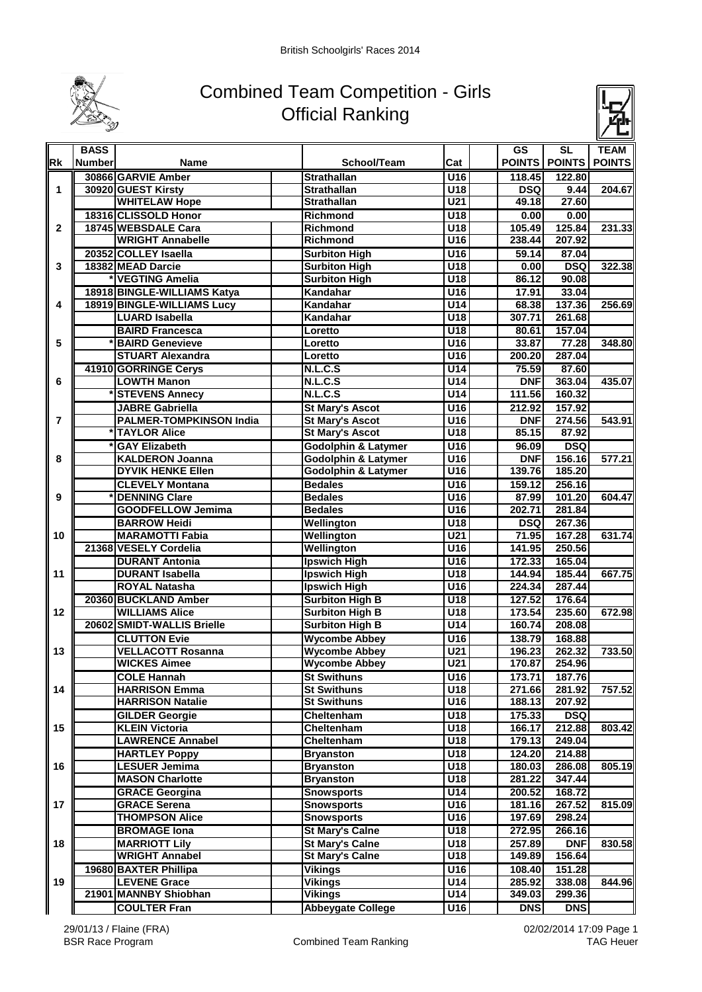

## Combined Team Competition - Girls Official Ranking



|                  | <b>BASS</b>   |                                |                                |                                               | <b>GS</b>  | $\overline{\text{SL}}$ | <b>TEAM</b>   |
|------------------|---------------|--------------------------------|--------------------------------|-----------------------------------------------|------------|------------------------|---------------|
| <b>IRk</b>       | <b>Number</b> | Name                           | School/Team                    | Cat                                           |            | POINTS   POINTS        | <b>POINTS</b> |
| 1<br>$\mathbf 2$ |               | 30866 GARVIE Amber             | <b>Strathallan</b>             | $\overline{U16}$                              | 118.45     | 122.80                 |               |
|                  |               | 30920 GUEST Kirsty             | <b>Strathallan</b>             | U18                                           | <b>DSQ</b> | 9.44                   | 204.67        |
|                  |               | <b>WHITELAW Hope</b>           | Strathallan                    | $\overline{U21}$                              | 49.18      | 27.60                  |               |
|                  |               | 18316 CLISSOLD Honor           | <b>Richmond</b>                | U18                                           | 0.00       | 0.00                   |               |
|                  |               | 18745 WEBSDALE Cara            | Richmond                       | $\overline{U18}$                              | 105.49     | 125.84                 | 231.33        |
|                  |               | <b>WRIGHT Annabelle</b>        | Richmond                       | U <sub>16</sub>                               | 238.44     | 207.92                 |               |
|                  |               | 20352 COLLEY Isaella           | <b>Surbiton High</b>           | U <sub>16</sub>                               | 59.14      | 87.04                  |               |
| 3                |               | 18382 MEAD Darcie              | <b>Surbiton High</b>           | $\overline{U18}$                              | 0.00       | <b>DSQ</b>             | 322.38        |
|                  |               | <b>VEGTING Amelia</b>          | <b>Surbiton High</b>           | $\overline{U18}$                              | 86.12      | 90.08                  |               |
|                  |               | 18918 BINGLE-WILLIAMS Katya    | Kandahar                       | U16                                           | 17.91      | 33.04                  |               |
| 4                |               | 18919 BINGLE-WILLIAMS Lucy     | Kandahar                       | U14                                           | 68.38      | 137.36                 | 256.69        |
|                  |               | <b>LUARD Isabella</b>          | Kandahar                       | $\overline{U18}$                              | 307.71     | 261.68                 |               |
|                  |               | <b>BAIRD Francesca</b>         | Loretto                        | $\overline{U18}$                              | 80.61      | 157.04                 |               |
| 5                |               | <b>BAIRD Genevieve</b>         | Loretto                        | U16                                           | 33.87      | 77.28                  | 348.80        |
|                  |               | <b>STUART Alexandra</b>        | Loretto                        | U <sub>16</sub>                               | 200.20     | 287.04                 |               |
|                  |               | 41910 GORRINGE Cerys           | N.L.C.S                        | U14                                           | 75.59      | 87.60                  |               |
| 6                |               | <b>LOWTH Manon</b>             | N.L.C.S                        | U14                                           | <b>DNF</b> | 363.04                 | 435.07        |
|                  |               | <b>STEVENS Annecy</b>          | <b>N.L.C.S</b>                 | U14                                           | 111.56     | 160.32                 |               |
|                  |               | <b>JABRE Gabriella</b>         | <b>St Mary's Ascot</b>         | U16                                           | 212.92     | 157.92                 |               |
| 7                |               | <b>PALMER-TOMPKINSON India</b> | <b>St Mary's Ascot</b>         | $\overline{U16}$                              | <b>DNF</b> | 274.56                 | 543.91        |
|                  |               | <b>TAYLOR Alice</b>            | <b>St Mary's Ascot</b>         | $\overline{U18}$                              | 85.15      | 87.92                  |               |
|                  |               | <b>GAY Elizabeth</b>           | <b>Godolphin &amp; Latymer</b> | $\overline{U16}$                              | 96.09      | <b>DSQ</b>             |               |
| 8                |               | <b>KALDERON Joanna</b>         | <b>Godolphin &amp; Latymer</b> | $\overline{U16}$                              | <b>DNF</b> | 156.16                 | 577.21        |
|                  |               | <b>DYVIK HENKE Ellen</b>       | <b>Godolphin &amp; Latymer</b> | U <sub>16</sub>                               | 139.76     | 185.20                 |               |
|                  |               | <b>CLEVELY Montana</b>         | <b>Bedales</b>                 | U16                                           | 159.12     | 256.16                 |               |
| 9                |               | <b>DENNING Clare</b>           | <b>Bedales</b>                 | $\overline{U16}$                              | 87.99      | 101.20                 | 604.47        |
|                  |               | <b>GOODFELLOW Jemima</b>       | <b>Bedales</b>                 | $\overline{U16}$                              | 202.71     | 281.84                 |               |
|                  |               | <b>BARROW Heidi</b>            | Wellington                     | $\overline{U18}$                              | <b>DSQ</b> | 267.36                 |               |
| 10               |               | <b>MARAMOTTI Fabia</b>         | Wellington                     | $\overline{U21}$                              | 71.95      | 167.28                 | 631.74        |
|                  |               | 21368 VESELY Cordelia          | Wellington                     | U16                                           | 141.95     | 250.56                 |               |
|                  |               | <b>DURANT Antonia</b>          | <b>Ipswich High</b>            | U <sub>16</sub>                               | 172.33     | 165.04                 |               |
| 11               |               | <b>DURANT Isabella</b>         | Ipswich High                   | $\overline{U18}$                              | 144.94     | 185.44                 | 667.75        |
|                  |               | <b>ROYAL Natasha</b>           | Ipswich High                   | U <sub>16</sub>                               | 224.34     | 287.44                 |               |
|                  |               | 20360 BUCKLAND Amber           | <b>Surbiton High B</b>         | U18                                           | 127.52     | 176.64                 |               |
| 12               |               | <b>WILLIAMS Alice</b>          | <b>Surbiton High B</b>         | $\overline{U18}$                              | 173.54     | 235.60                 | 672.98        |
|                  |               | 20602 SMIDT-WALLIS Brielle     | <b>Surbiton High B</b>         | U <sub>14</sub>                               | 160.74     | 208.08                 |               |
|                  |               | <b>CLUTTON Evie</b>            | <b>Wycombe Abbey</b>           | $\overline{U16}$                              | 138.79     | 168.88                 |               |
| 13               |               | <b>VELLACOTT Rosanna</b>       | <b>Wycombe Abbey</b>           | U21                                           | 196.23     | 262.32                 | 733.50        |
|                  |               | <b>WICKES Aimee</b>            | <b>Wycombe Abbey</b>           | U <sub>21</sub>                               | 170.87     | 254.96                 |               |
|                  |               | <b>COLE Hannah</b>             | <b>St Swithuns</b>             | U16                                           | 173.71     | 187.76                 |               |
| 14               |               | <b>HARRISON Emma</b>           | <b>St Swithuns</b>             | U18                                           | 271.66     | 281.92                 | 757.52        |
|                  |               | <b>HARRISON Natalie</b>        | <b>St Swithuns</b>             | $\overline{U16}$                              | 188.13     | 207.92                 |               |
|                  |               | <b>GILDER Georgie</b>          | Cheltenham                     | U18                                           | 175.33     | <b>DSQ</b>             |               |
| 15<br>16<br>17   |               | <b>KLEIN Victoria</b>          | Cheltenham                     | U18                                           | 166.17     | 212.88                 | 803.42        |
|                  |               | <b>LAWRENCE Annabel</b>        | Cheltenham                     | $\overline{\overline{\mathsf{U}}\mathsf{18}}$ | 179.13     | 249.04                 |               |
|                  |               | <b>HARTLEY Poppy</b>           | <b>Bryanston</b>               | U18                                           | 124.20     | 214.88                 |               |
|                  |               | <b>LESUER Jemima</b>           | <b>Bryanston</b>               | $\overline{C}$                                | 180.03     | 286.08                 | 805.19        |
|                  |               | <b>MASON Charlotte</b>         | <b>Bryanston</b>               | U18                                           | 281.22     | 347.44                 |               |
|                  |               | <b>GRACE Georgina</b>          | <b>Snowsports</b>              | U14                                           | 200.52     | 168.72                 |               |
|                  |               | <b>GRACE Serena</b>            | <b>Snowsports</b>              | $\overline{U16}$                              | 181.16     | 267.52                 | 815.09        |
|                  |               | <b>THOMPSON Alice</b>          | <b>Snowsports</b>              | $\overline{U16}$                              | 197.69     | 298.24                 |               |
|                  |               | <b>BROMAGE Iona</b>            | <b>St Mary's Calne</b>         | U18                                           | 272.95     | 266.16                 |               |
| 18               |               | <b>MARRIOTT Lily</b>           | <b>St Mary's Calne</b>         | U18                                           | 257.89     | <b>DNF</b>             | 830.58        |
|                  |               | <b>WRIGHT Annabel</b>          | <b>St Mary's Calne</b>         | U18                                           | 149.89     | 156.64                 |               |
|                  |               | 19680 BAXTER Phillipa          | <b>Vikings</b>                 | $\overline{U16}$                              | 108.40     | 151.28                 |               |
| 19               |               | <b>LEVENE Grace</b>            | Vikings                        | U14                                           | 285.92     | 338.08                 | 844.96        |
|                  |               | 21901 MANNBY Shiobhan          | Vikings                        | $\overline{U14}$                              | 349.03     | 299.36                 |               |
|                  |               | <b>COULTER Fran</b>            | <b>Abbeygate College</b>       | $\overline{U16}$                              | <b>DNS</b> | <b>DNS</b>             |               |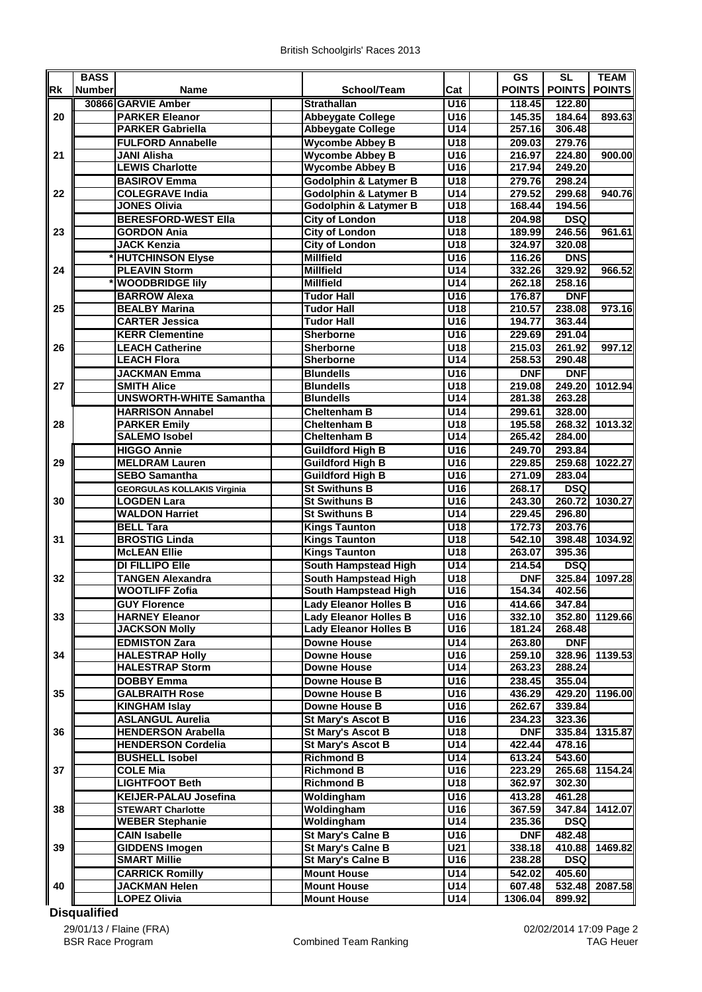|           | <b>BASS</b>   |                                    |                                              |                  | GS              | <b>SL</b>  | <b>TEAM</b>   |
|-----------|---------------|------------------------------------|----------------------------------------------|------------------|-----------------|------------|---------------|
| <b>Rk</b> | <b>Number</b> | <b>Name</b>                        | School/Team                                  | Cat              | POINTS   POINTS |            | <b>POINTS</b> |
|           |               |                                    |                                              |                  |                 |            |               |
|           |               | 30866 GARVIE Amber                 | <b>Strathallan</b>                           | U <sub>16</sub>  | 118.45          | 122.80     |               |
| 20        |               | <b>PARKER Eleanor</b>              | <b>Abbeygate College</b>                     | U <sub>16</sub>  | 145.35          | 184.64     | 893.63        |
|           |               | <b>PARKER Gabriella</b>            | <b>Abbeygate College</b>                     | U14              | 257.16          | 306.48     |               |
| 21        |               | <b>FULFORD Annabelle</b>           | <b>Wycombe Abbey B</b>                       | $\overline{U18}$ | 209.03          | 279.76     |               |
|           |               | <b>JANI Alisha</b>                 | <b>Wycombe Abbey B</b>                       | $\overline{U16}$ | 216.97          | 224.80     | 900.00        |
|           |               | <b>LEWIS Charlotte</b>             | <b>Wycombe Abbey B</b>                       | U16              | 217.94          | 249.20     |               |
|           |               | <b>BASIROV Emma</b>                | <b>Godolphin &amp; Latymer B</b>             | U18              | 279.76          | 298.24     |               |
| 22        |               | <b>COLEGRAVE India</b>             | <b>Godolphin &amp; Latymer B</b>             | $\overline{U14}$ | 279.52          | 299.68     | 940.76        |
|           |               | <b>JONES Olivia</b>                | <b>Godolphin &amp; Latymer B</b>             | U18              | 168.44          | 194.56     |               |
|           |               | <b>BERESFORD-WEST Ella</b>         | <b>City of London</b>                        | $\overline{U18}$ | 204.98          | <b>DSQ</b> |               |
| 23        |               | <b>GORDON Ania</b>                 | <b>City of London</b>                        | U18              | 189.99          | 246.56     | 961.61        |
|           |               | <b>JACK Kenzia</b>                 | <b>City of London</b>                        | U18              | 324.97          | 320.08     |               |
|           |               | <b>HUTCHINSON Elyse</b>            | <b>Millfield</b>                             | U16              | 116.26          | <b>DNS</b> |               |
| 24        |               | <b>PLEAVIN Storm</b>               | <b>Millfield</b>                             | U14              | 332.26          | 329.92     | 966.52        |
|           |               | <b>WOODBRIDGE lily</b>             | <b>Millfield</b>                             | U <sub>14</sub>  | 262.18          | 258.16     |               |
|           |               |                                    |                                              |                  |                 |            |               |
|           |               | <b>BARROW Alexa</b>                | <b>Tudor Hall</b>                            | $\overline{U16}$ | 176.87          | <b>DNF</b> |               |
| 25        |               | <b>BEALBY Marina</b>               | <b>Tudor Hall</b>                            | $\overline{U18}$ | 210.57          | 238.08     | 973.16        |
|           |               | <b>CARTER Jessica</b>              | <b>Tudor Hall</b>                            | U <sub>16</sub>  | 194.77          | 363.44     |               |
|           |               | <b>KERR Clementine</b>             | Sherborne                                    | $\overline{U16}$ | 229.69          | 291.04     |               |
| 26        |               | <b>LEACH Catherine</b>             | Sherborne                                    | $\overline{U18}$ | 215.03          | 261.92     | 997.12        |
|           |               | <b>LEACH Flora</b>                 | Sherborne                                    | $\overline{U14}$ | 258.53          | 290.48     |               |
|           |               | <b>JACKMAN Emma</b>                | <b>Blundells</b>                             | $\overline{U16}$ | <b>DNF</b>      | <b>DNF</b> |               |
| 27        |               | <b>SMITH Alice</b>                 | <b>Blundells</b>                             | $\overline{U18}$ | 219.08          | 249.20     | 1012.94       |
|           |               | <b>UNSWORTH-WHITE Samantha</b>     | <b>Blundells</b>                             | $\overline{U14}$ | 281.38          | 263.28     |               |
|           |               | <b>HARRISON Annabel</b>            | <b>Cheltenham B</b>                          | U14              | 299.61          | 328.00     |               |
| 28        |               | <b>PARKER Emily</b>                | <b>Cheltenham B</b>                          | U18              | 195.58          | 268.32     | 1013.32       |
|           |               | <b>SALEMO Isobel</b>               | <b>Cheltenham B</b>                          | U14              | 265.42          | 284.00     |               |
|           |               | <b>HIGGO Annie</b>                 | <b>Guildford High B</b>                      | $\overline{U16}$ | 249.70          | 293.84     |               |
| 29        |               | <b>MELDRAM Lauren</b>              | <b>Guildford High B</b>                      | $\overline{U16}$ | 229.85          | 259.68     | 1022.27       |
|           |               | <b>SEBO Samantha</b>               | <b>Guildford High B</b>                      | U <sub>16</sub>  | 271.09          | 283.04     |               |
|           |               |                                    | <b>St Swithuns B</b>                         | U16              | 268.17          | <b>DSQ</b> |               |
| 30        |               | <b>GEORGULAS KOLLAKIS Virginia</b> |                                              |                  |                 |            | 1030.27       |
|           |               | <b>LOGDEN Lara</b>                 | <b>St Swithuns B</b><br><b>St Swithuns B</b> | U16<br>U14       | 243.30          | 260.72     |               |
|           |               | <b>WALDON Harriet</b>              |                                              |                  | 229.45          | 296.80     |               |
|           |               | <b>BELL Tara</b>                   | <b>Kings Taunton</b>                         | $\overline{U18}$ | 172.73          | 203.76     |               |
| 31        |               | <b>BROSTIG Linda</b>               | <b>Kings Taunton</b>                         | U18              | 542.10          | 398.48     | 1034.92       |
|           |               | <b>McLEAN Ellie</b>                | <b>Kings Taunton</b>                         | U18              | 263.07          | 395.36     |               |
|           |               | <b>DI FILLIPO Elle</b>             | <b>South Hampstead High</b>                  | U14              | 214.54          | <b>DSQ</b> |               |
| 32        |               | <b>TANGEN Alexandra</b>            | South Hampstead High                         | U18              | <b>DNF</b>      | 325.84     | 1097.28       |
|           |               | <b>WOOTLIFF Zofia</b>              | South Hampstead High                         | $\overline{U16}$ | 154.34          | 402.56     |               |
|           |               | <b>GUY Florence</b>                | <b>Lady Eleanor Holles B</b>                 | U16              | 414.66          | 347.84     |               |
| 33        |               | <b>HARNEY Eleanor</b>              | <b>Lady Eleanor Holles B</b>                 | U16              | 332.10          | 352.80     | 1129.66       |
|           |               | <b>JACKSON Molly</b>               | <b>Lady Eleanor Holles B</b>                 | $\overline{U16}$ | 181.24          | 268.48     |               |
|           |               | <b>EDMISTON Zara</b>               | <b>Downe House</b>                           | U14              | 263.80          | <b>DNF</b> |               |
| 34        |               | <b>HALESTRAP Holly</b>             | <b>Downe House</b>                           | $\overline{U16}$ | 259.10          | 328.96     | 1139.53       |
|           |               | <b>HALESTRAP Storm</b>             | <b>Downe House</b>                           | $\overline{U14}$ | 263.23          | 288.24     |               |
|           |               | <b>DOBBY Emma</b>                  | Downe House B                                | U16              | 238.45          | 355.04     |               |
| 35        |               | <b>GALBRAITH Rose</b>              | Downe House B                                | $\overline{U16}$ | 436.29          | 429.20     | 1196.00       |
|           |               | <b>KINGHAM Islay</b>               | Downe House B                                | U16              | 262.67          | 339.84     |               |
|           |               | <b>ASLANGUL Aurelia</b>            | St Mary's Ascot B                            | U16              | 234.23          | 323.36     |               |
| 36        |               | <b>HENDERSON Arabella</b>          | <b>St Mary's Ascot B</b>                     | U18              | <b>DNF</b>      | 335.84     | 1315.87       |
|           |               | <b>HENDERSON Cordelia</b>          | <b>St Mary's Ascot B</b>                     | U14              | 422.44          | 478.16     |               |
|           |               |                                    |                                              |                  |                 |            |               |
|           |               | <b>BUSHELL Isobel</b>              | <b>Richmond B</b>                            | U14              | 613.24          | 543.60     |               |
| 37        |               | <b>COLE Mia</b>                    | <b>Richmond B</b>                            | $\overline{U16}$ | 223.29          | 265.68     | 1154.24       |
|           |               | <b>LIGHTFOOT Beth</b>              | <b>Richmond B</b>                            | U18              | 362.97          | 302.30     |               |
|           |               | <b>KEIJER-PALAU Josefina</b>       | Woldingham                                   | $\overline{U16}$ | 413.28          | 461.28     |               |
| 38        |               | <b>STEWART Charlotte</b>           | Woldingham                                   | $\overline{U16}$ | 367.59          | 347.84     | 1412.07       |
|           |               | <b>WEBER Stephanie</b>             | Woldingham                                   | U14              | 235.36          | DSQ        |               |
|           |               | <b>CAIN Isabelle</b>               | <b>St Mary's Calne B</b>                     | U16              | <b>DNF</b>      | 482.48     |               |
| 39        |               | <b>GIDDENS Imogen</b>              | St Mary's Calne B                            | U21              | 338.18          | 410.88     | 1469.82       |
|           |               | <b>SMART Millie</b>                | <b>St Mary's Calne B</b>                     | U16              | 238.28          | <b>DSQ</b> |               |
|           |               | <b>CARRICK Romilly</b>             | <b>Mount House</b>                           | U14              | 542.02          | 405.60     |               |
| 40        |               | <b>JACKMAN Helen</b>               | <b>Mount House</b>                           | <b>U14</b>       | 607.48          | 532.48     | 2087.58       |
|           |               | <b>LOPEZ Olivia</b>                | <b>Mount House</b>                           | U14              | 1306.04         | 899.92     |               |

## **Disqualified**